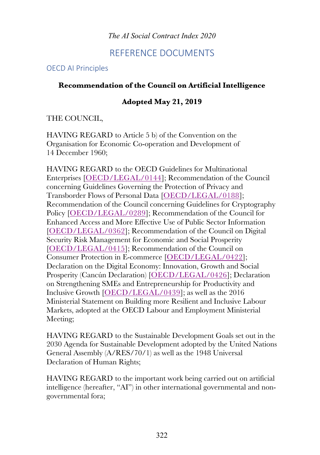# REFERENCE DOCUMENTS

## OECD AI Principles

## **Recommendation of the Council on Artificial Intelligence**

# **Adopted May 21, 2019**

### THE COUNCIL,

HAVING REGARD to Article 5 b) of the Convention on the Organisation for Economic Co-operation and Development of 14 December 1960;

HAVING REGARD to the OECD Guidelines for Multinational Enterprises [OECD/LEGAL/0144]; Recommendation of the Council concerning Guidelines Governing the Protection of Privacy and Transborder Flows of Personal Data [OECD/LEGAL/0188]; Recommendation of the Council concerning Guidelines for Cryptography Policy [OECD/LEGAL/0289]; Recommendation of the Council for Enhanced Access and More Effective Use of Public Sector Information [OECD/LEGAL/0362]; Recommendation of the Council on Digital Security Risk Management for Economic and Social Prosperity [OECD/LEGAL/0415]; Recommendation of the Council on Consumer Protection in E-commerce [OECD/LEGAL/0422]; Declaration on the Digital Economy: Innovation, Growth and Social Prosperity (Cancún Declaration) [OECD/LEGAL/0426]; Declaration on Strengthening SMEs and Entrepreneurship for Productivity and Inclusive Growth [OECD/LEGAL/0439]; as well as the 2016 Ministerial Statement on Building more Resilient and Inclusive Labour Markets, adopted at the OECD Labour and Employment Ministerial Meeting;

HAVING REGARD to the Sustainable Development Goals set out in the 2030 Agenda for Sustainable Development adopted by the United Nations General Assembly (A/RES/70/1) as well as the 1948 Universal Declaration of Human Rights;

HAVING REGARD to the important work being carried out on artificial intelligence (hereafter, "AI") in other international governmental and nongovernmental fora;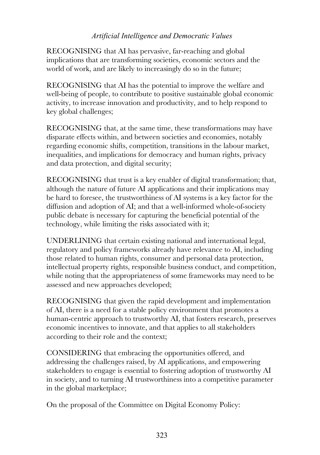RECOGNISING that AI has pervasive, far-reaching and global implications that are transforming societies, economic sectors and the world of work, and are likely to increasingly do so in the future;

RECOGNISING that AI has the potential to improve the welfare and well-being of people, to contribute to positive sustainable global economic activity, to increase innovation and productivity, and to help respond to key global challenges;

RECOGNISING that, at the same time, these transformations may have disparate effects within, and between societies and economies, notably regarding economic shifts, competition, transitions in the labour market, inequalities, and implications for democracy and human rights, privacy and data protection, and digital security;

RECOGNISING that trust is a key enabler of digital transformation; that, although the nature of future AI applications and their implications may be hard to foresee, the trustworthiness of AI systems is a key factor for the diffusion and adoption of AI; and that a well-informed whole-of-society public debate is necessary for capturing the beneficial potential of the technology, while limiting the risks associated with it;

UNDERLINING that certain existing national and international legal, regulatory and policy frameworks already have relevance to AI, including those related to human rights, consumer and personal data protection, intellectual property rights, responsible business conduct, and competition, while noting that the appropriateness of some frameworks may need to be assessed and new approaches developed;

RECOGNISING that given the rapid development and implementation of AI, there is a need for a stable policy environment that promotes a human-centric approach to trustworthy AI, that fosters research, preserves economic incentives to innovate, and that applies to all stakeholders according to their role and the context;

CONSIDERING that embracing the opportunities offered, and addressing the challenges raised, by AI applications, and empowering stakeholders to engage is essential to fostering adoption of trustworthy AI in society, and to turning AI trustworthiness into a competitive parameter in the global marketplace;

On the proposal of the Committee on Digital Economy Policy: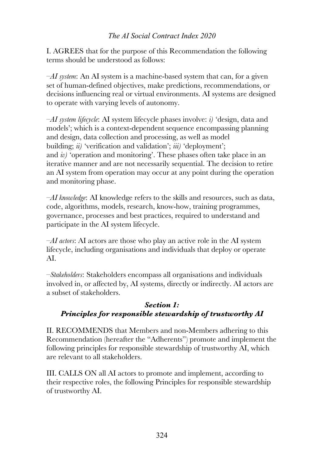I. AGREES that for the purpose of this Recommendation the following terms should be understood as follows:

‒*AI system*: An AI system is a machine-based system that can, for a given set of human-defined objectives, make predictions, recommendations, or decisions influencing real or virtual environments. AI systems are designed to operate with varying levels of autonomy.

‒*AI system lifecycle*: AI system lifecycle phases involve: *i)* 'design, data and models'; which is a context-dependent sequence encompassing planning and design, data collection and processing, as well as model building; *ii)* 'verification and validation'; *iii)* 'deployment'; and *iv)* 'operation and monitoring'. These phases often take place in an iterative manner and are not necessarily sequential. The decision to retire an AI system from operation may occur at any point during the operation and monitoring phase.

‒*AI knowledge*: AI knowledge refers to the skills and resources, such as data, code, algorithms, models, research, know-how, training programmes, governance, processes and best practices, required to understand and participate in the AI system lifecycle.

‒*AI actors*: AI actors are those who play an active role in the AI system lifecycle, including organisations and individuals that deploy or operate AI.

‒*Stakeholders*: Stakeholders encompass all organisations and individuals involved in, or affected by, AI systems, directly or indirectly. AI actors are a subset of stakeholders.

# *Section 1: Principles for responsible stewardship of trustworthy AI*

II. RECOMMENDS that Members and non-Members adhering to this Recommendation (hereafter the "Adherents") promote and implement the following principles for responsible stewardship of trustworthy AI, which are relevant to all stakeholders.

III. CALLS ON all AI actors to promote and implement, according to their respective roles, the following Principles for responsible stewardship of trustworthy AI.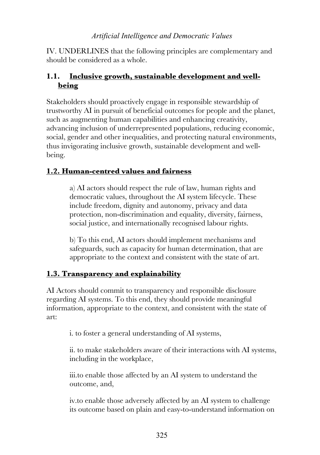IV. UNDERLINES that the following principles are complementary and should be considered as a whole.

# **1.1. Inclusive growth, sustainable development and wellbeing**

Stakeholders should proactively engage in responsible stewardship of trustworthy AI in pursuit of beneficial outcomes for people and the planet, such as augmenting human capabilities and enhancing creativity, advancing inclusion of underrepresented populations, reducing economic, social, gender and other inequalities, and protecting natural environments, thus invigorating inclusive growth, sustainable development and wellbeing.

# **1.2. Human-centred values and fairness**

a) AI actors should respect the rule of law, human rights and democratic values, throughout the AI system lifecycle. These include freedom, dignity and autonomy, privacy and data protection, non-discrimination and equality, diversity, fairness, social justice, and internationally recognised labour rights.

b) To this end, AI actors should implement mechanisms and safeguards, such as capacity for human determination, that are appropriate to the context and consistent with the state of art.

# **1.3. Transparency and explainability**

AI Actors should commit to transparency and responsible disclosure regarding AI systems. To this end, they should provide meaningful information, appropriate to the context, and consistent with the state of art:

i. to foster a general understanding of AI systems,

ii. to make stakeholders aware of their interactions with AI systems, including in the workplace,

iii.to enable those affected by an AI system to understand the outcome, and,

iv.to enable those adversely affected by an AI system to challenge its outcome based on plain and easy-to-understand information on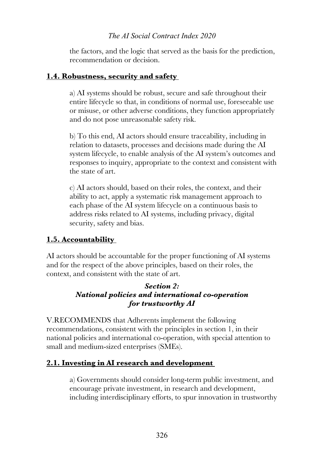the factors, and the logic that served as the basis for the prediction, recommendation or decision.

### **1.4. Robustness, security and safety**

a) AI systems should be robust, secure and safe throughout their entire lifecycle so that, in conditions of normal use, foreseeable use or misuse, or other adverse conditions, they function appropriately and do not pose unreasonable safety risk.

b) To this end, AI actors should ensure traceability, including in relation to datasets, processes and decisions made during the AI system lifecycle, to enable analysis of the AI system's outcomes and responses to inquiry, appropriate to the context and consistent with the state of art.

c) AI actors should, based on their roles, the context, and their ability to act, apply a systematic risk management approach to each phase of the AI system lifecycle on a continuous basis to address risks related to AI systems, including privacy, digital security, safety and bias.

# **1.5. Accountability**

AI actors should be accountable for the proper functioning of AI systems and for the respect of the above principles, based on their roles, the context, and consistent with the state of art.

# *Section 2: National policies and international co-operation for trustworthy AI*

V.RECOMMENDS that Adherents implement the following recommendations, consistent with the principles in section 1, in their national policies and international co-operation, with special attention to small and medium-sized enterprises (SMEs).

# **2.1. Investing in AI research and development**

a) Governments should consider long-term public investment, and encourage private investment, in research and development, including interdisciplinary efforts, to spur innovation in trustworthy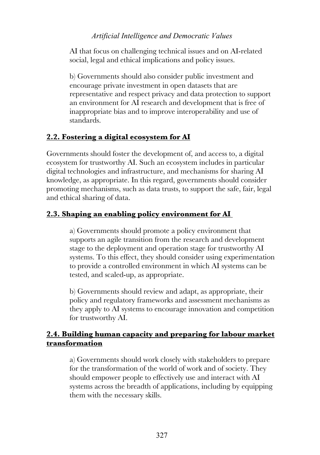AI that focus on challenging technical issues and on AI-related social, legal and ethical implications and policy issues.

b) Governments should also consider public investment and encourage private investment in open datasets that are representative and respect privacy and data protection to support an environment for AI research and development that is free of inappropriate bias and to improve interoperability and use of standards.

# **2.2. Fostering a digital ecosystem for AI**

Governments should foster the development of, and access to, a digital ecosystem for trustworthy AI. Such an ecosystem includes in particular digital technologies and infrastructure, and mechanisms for sharing AI knowledge, as appropriate. In this regard, governments should consider promoting mechanisms, such as data trusts, to support the safe, fair, legal and ethical sharing of data.

# **2.3. Shaping an enabling policy environment for AI**

a) Governments should promote a policy environment that supports an agile transition from the research and development stage to the deployment and operation stage for trustworthy AI systems. To this effect, they should consider using experimentation to provide a controlled environment in which AI systems can be tested, and scaled-up, as appropriate.

b) Governments should review and adapt, as appropriate, their policy and regulatory frameworks and assessment mechanisms as they apply to AI systems to encourage innovation and competition for trustworthy AI.

# **2.4. Building human capacity and preparing for labour market transformation**

a) Governments should work closely with stakeholders to prepare for the transformation of the world of work and of society. They should empower people to effectively use and interact with AI systems across the breadth of applications, including by equipping them with the necessary skills.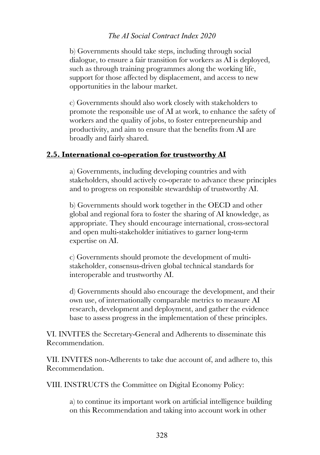b) Governments should take steps, including through social dialogue, to ensure a fair transition for workers as AI is deployed, such as through training programmes along the working life, support for those affected by displacement, and access to new opportunities in the labour market.

c) Governments should also work closely with stakeholders to promote the responsible use of AI at work, to enhance the safety of workers and the quality of jobs, to foster entrepreneurship and productivity, and aim to ensure that the benefits from AI are broadly and fairly shared.

### **2.5. International co-operation for trustworthy AI**

a) Governments, including developing countries and with stakeholders, should actively co-operate to advance these principles and to progress on responsible stewardship of trustworthy AI.

b) Governments should work together in the OECD and other global and regional fora to foster the sharing of AI knowledge, as appropriate. They should encourage international, cross-sectoral and open multi-stakeholder initiatives to garner long-term expertise on AI.

c) Governments should promote the development of multistakeholder, consensus-driven global technical standards for interoperable and trustworthy AI.

d) Governments should also encourage the development, and their own use, of internationally comparable metrics to measure AI research, development and deployment, and gather the evidence base to assess progress in the implementation of these principles.

VI. INVITES the Secretary-General and Adherents to disseminate this Recommendation.

VII. INVITES non-Adherents to take due account of, and adhere to, this Recommendation.

VIII. INSTRUCTS the Committee on Digital Economy Policy:

a) to continue its important work on artificial intelligence building on this Recommendation and taking into account work in other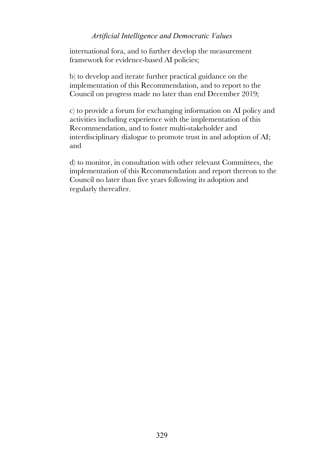international fora, and to further develop the measurement framework for evidence-based AI policies;

b) to develop and iterate further practical guidance on the implementation of this Recommendation, and to report to the Council on progress made no later than end December 2019;

c) to provide a forum for exchanging information on AI policy and activities including experience with the implementation of this Recommendation, and to foster multi-stakeholder and interdisciplinary dialogue to promote trust in and adoption of AI; and

d) to monitor, in consultation with other relevant Committees, the implementation of this Recommendation and report thereon to the Council no later than five years following its adoption and regularly thereafter.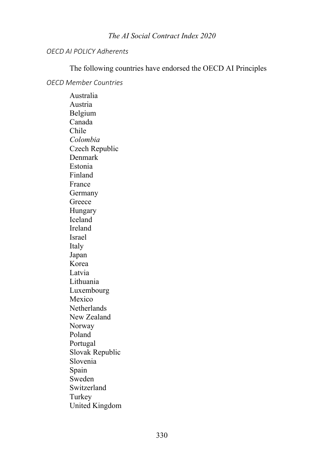### *OECD AI POLICY Adherents*

The following countries have endorsed the OECD AI Principles

#### *OECD Member Countries*

Australia Austria Belgium Canada Chile *Colombia* Czech Republic Denmark Estonia Finland France Germany Greece Hungary Iceland Ireland Israel Italy Japan Korea Latvia Lithuania Luxembourg Mexico **Netherlands** New Zealand Norway Poland Portugal Slovak Republic Slovenia Spain Sweden Switzerland Turkey United Kingdom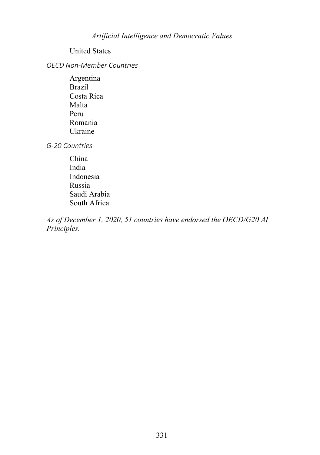# United States

*OECD Non-Member Countries*

Argentina Brazil Costa Rica Malta Peru Romania Ukraine

*G-20 Countries*

China India Indonesia Russia Saudi Arabia South Africa

*As of December 1, 2020, 51 countries have endorsed the OECD/G20 AI Principles.*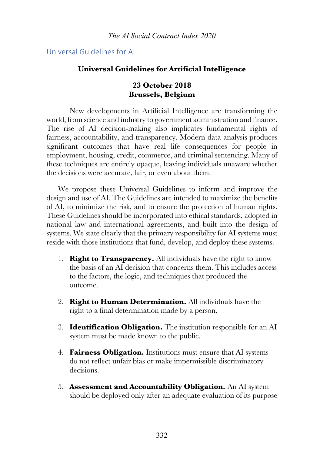### Universal Guidelines for AI

#### **Universal Guidelines for Artificial Intelligence**

## **23 October 2018 Brussels, Belgium**

New developments in Artificial Intelligence are transforming the world, from science and industry to government administration and finance. The rise of AI decision-making also implicates fundamental rights of fairness, accountability, and transparency. Modern data analysis produces significant outcomes that have real life consequences for people in employment, housing, credit, commerce, and criminal sentencing. Many of these techniques are entirely opaque, leaving individuals unaware whether the decisions were accurate, fair, or even about them.

We propose these Universal Guidelines to inform and improve the design and use of AI. The Guidelines are intended to maximize the benefits of AI, to minimize the risk, and to ensure the protection of human rights. These Guidelines should be incorporated into ethical standards, adopted in national law and international agreements, and built into the design of systems. We state clearly that the primary responsibility for AI systems must reside with those institutions that fund, develop, and deploy these systems.

- 1. **Right to Transparency.** All individuals have the right to know the basis of an AI decision that concerns them. This includes access to the factors, the logic, and techniques that produced the outcome.
- 2. **Right to Human Determination.** All individuals have the right to a final determination made by a person.
- 3. **Identification Obligation.** The institution responsible for an AI system must be made known to the public.
- 4. **Fairness Obligation.** Institutions must ensure that AI systems do not reflect unfair bias or make impermissible discriminatory decisions.
- 5. **Assessment and Accountability Obligation.** An AI system should be deployed only after an adequate evaluation of its purpose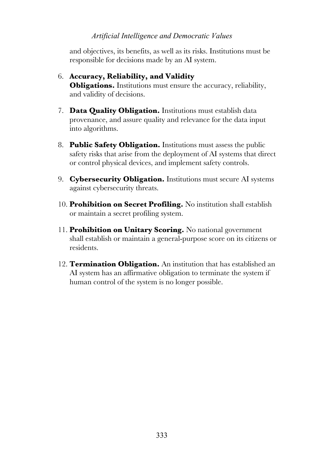and objectives, its benefits, as well as its risks. Institutions must be responsible for decisions made by an AI system.

- 6. **Accuracy, Reliability, and Validity Obligations.** Institutions must ensure the accuracy, reliability, and validity of decisions.
- 7. **Data Quality Obligation.** Institutions must establish data provenance, and assure quality and relevance for the data input into algorithms.
- 8. **Public Safety Obligation.** Institutions must assess the public safety risks that arise from the deployment of AI systems that direct or control physical devices, and implement safety controls.
- 9. **Cybersecurity Obligation.** Institutions must secure AI systems against cybersecurity threats.
- 10. **Prohibition on Secret Profiling.** No institution shall establish or maintain a secret profiling system.
- 11. **Prohibition on Unitary Scoring.** No national government shall establish or maintain a general-purpose score on its citizens or residents.
- 12. **Termination Obligation.** An institution that has established an AI system has an affirmative obligation to terminate the system if human control of the system is no longer possible.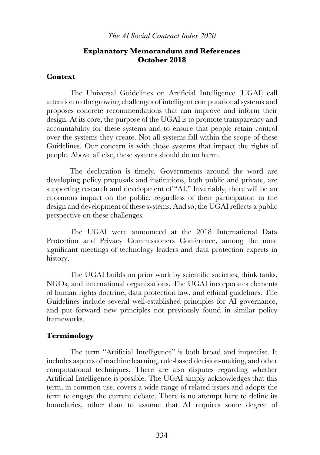### **Explanatory Memorandum and References October 2018**

#### **Context**

The Universal Guidelines on Artificial Intelligence (UGAI) call attention to the growing challenges of intelligent computational systems and proposes concrete recommendations that can improve and inform their design. At its core, the purpose of the UGAI is to promote transparency and accountability for these systems and to ensure that people retain control over the systems they create. Not all systems fall within the scope of these Guidelines. Our concern is with those systems that impact the rights of people. Above all else, these systems should do no harm.

The declaration is timely. Governments around the word are developing policy proposals and institutions, both public and private, are supporting research and development of "AI." Invariably, there will be an enormous impact on the public, regardless of their participation in the design and development of these systems. And so, the UGAI reflects a public perspective on these challenges.

The UGAI were announced at the 2018 International Data Protection and Privacy Commissioners Conference, among the most significant meetings of technology leaders and data protection experts in history.

The UGAI builds on prior work by scientific societies, think tanks, NGOs, and international organizations. The UGAI incorporates elements of human rights doctrine, data protection law, and ethical guidelines. The Guidelines include several well-established principles for AI governance, and put forward new principles not previously found in similar policy frameworks.

#### **Terminology**

The term "Artificial Intelligence" is both broad and imprecise. It includes aspects of machine learning, rule-based decision-making, and other computational techniques. There are also disputes regarding whether Artificial Intelligence is possible. The UGAI simply acknowledges that this term, in common use, covers a wide range of related issues and adopts the term to engage the current debate. There is no attempt here to define its boundaries, other than to assume that AI requires some degree of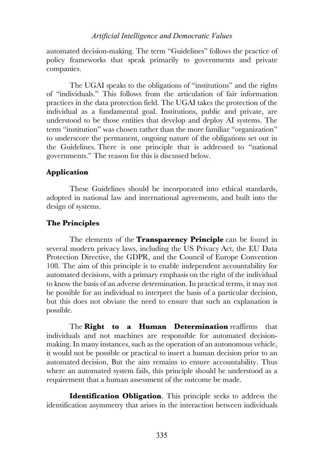automated decision-making. The term "Guidelines" follows the practice of policy frameworks that speak primarily to governments and private companies.

The UGAI speaks to the obligations of "institutions" and the rights of "individuals." This follows from the articulation of fair information practices in the data protection field. The UGAI takes the protection of the individual as a fundamental goal. Institutions, public and private, are understood to be those entities that develop and deploy AI systems. The term "institution" was chosen rather than the more familiar "organization" to underscore the permanent, ongoing nature of the obligations set out in the Guidelines. There is one principle that is addressed to "national governments." The reason for this is discussed below.

### **Application**

These Guidelines should be incorporated into ethical standards, adopted in national law and international agreements, and built into the design of systems.

### **The Principles**

The elements of the **Transparency Principle** can be found in several modern privacy laws, including the US Privacy Act, the EU Data Protection Directive, the GDPR, and the Council of Europe Convention 108. The aim of this principle is to enable independent accountability for automated decisions, with a primary emphasis on the right of the individual to know the basis of an adverse determination. In practical terms, it may not be possible for an individual to interpret the basis of a particular decision, but this does not obviate the need to ensure that such an explanation is possible.

The **Right to a Human Determination** reaffirms that individuals and not machines are responsible for automated decisionmaking. In many instances, such as the operation of an autonomous vehicle, it would not be possible or practical to insert a human decision prior to an automated decision. But the aim remains to ensure accountability. Thus where an automated system fails, this principle should be understood as a requirement that a human assessment of the outcome be made.

**Identification Obligation**. This principle seeks to address the identification asymmetry that arises in the interaction between individuals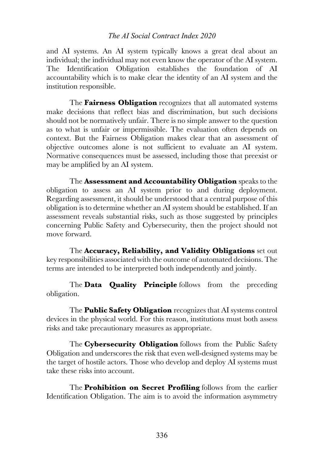and AI systems. An AI system typically knows a great deal about an individual; the individual may not even know the operator of the AI system. The Identification Obligation establishes the foundation of AI accountability which is to make clear the identity of an AI system and the institution responsible.

The **Fairness Obligation** recognizes that all automated systems make decisions that reflect bias and discrimination, but such decisions should not be normatively unfair. There is no simple answer to the question as to what is unfair or impermissible. The evaluation often depends on context. But the Fairness Obligation makes clear that an assessment of objective outcomes alone is not sufficient to evaluate an AI system. Normative consequences must be assessed, including those that preexist or may be amplified by an AI system.

The **Assessment and Accountability Obligation** speaks to the obligation to assess an AI system prior to and during deployment. Regarding assessment, it should be understood that a central purpose of this obligation is to determine whether an AI system should be established. If an assessment reveals substantial risks, such as those suggested by principles concerning Public Safety and Cybersecurity, then the project should not move forward.

The **Accuracy, Reliability, and Validity Obligations** set out key responsibilities associated with the outcome of automated decisions. The terms are intended to be interpreted both independently and jointly.

The **Data Quality Principle** follows from the preceding obligation.

The **Public Safety Obligation** recognizes that AI systems control devices in the physical world. For this reason, institutions must both assess risks and take precautionary measures as appropriate.

The **Cybersecurity Obligation** follows from the Public Safety Obligation and underscores the risk that even well-designed systems may be the target of hostile actors. Those who develop and deploy AI systems must take these risks into account.

The **Prohibition on Secret Profiling** follows from the earlier Identification Obligation. The aim is to avoid the information asymmetry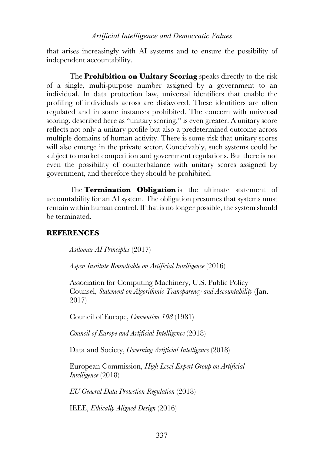that arises increasingly with AI systems and to ensure the possibility of independent accountability.

The **Prohibition on Unitary Scoring** speaks directly to the risk of a single, multi-purpose number assigned by a government to an individual. In data protection law, universal identifiers that enable the profiling of individuals across are disfavored. These identifiers are often regulated and in some instances prohibited. The concern with universal scoring, described here as "unitary scoring," is even greater. A unitary score reflects not only a unitary profile but also a predetermined outcome across multiple domains of human activity. There is some risk that unitary scores will also emerge in the private sector. Conceivably, such systems could be subject to market competition and government regulations. But there is not even the possibility of counterbalance with unitary scores assigned by government, and therefore they should be prohibited.

The **Termination Obligation** is the ultimate statement of accountability for an AI system. The obligation presumes that systems must remain within human control. If that is no longer possible, the system should be terminated.

### **REFERENCES**

*Asilomar AI Principles* (2017)

*Aspen Institute Roundtable on Artificial Intelligence* (2016)

Association for Computing Machinery, U.S. Public Policy Counsel, *Statement on Algorithmic Transparency and Accountability* (Jan. 2017)

Council of Europe, *Convention 108* (1981)

*Council of Europe and Artificial Intelligence* (2018)

Data and Society, *Governing Artificial Intelligence* (2018)

European Commission, *High Level Expert Group on Artificial Intelligence* (2018)

*EU General Data Protection Regulation* (2018)

IEEE, *Ethically Aligned Design* (2016)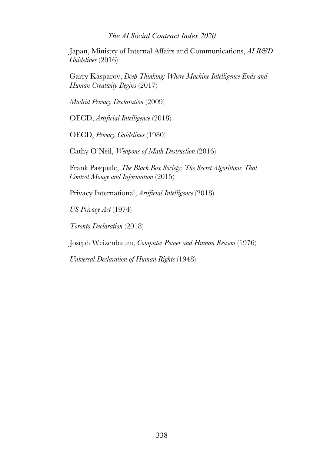Japan, Ministry of Internal Affairs and Communications, *AI R&D Guidelines* (2016)

Garry Kasparov, *Deep Thinking: Where Machine Intelligence Ends and Human Creativity Begins* (2017)

*Madrid Privacy Declaration* (2009)

OECD, *Artificial Intelligence* (2018)

OECD, *Privacy Guidelines* (1980)

Cathy O'Neil, *Weapons of Math Destruction* (2016)

Frank Pasquale, *The Black Box Society: The Secret Algorithms That Control Money and Information* (2015)

Privacy International, *Artificial Intelligence* (2018)

*US Privacy Act* (1974)

*Toronto Declaration* (2018)

Joseph Weizenbaum, *Computer Power and Human Reason* (1976)

*Universal Declaration of Human Rights* (1948)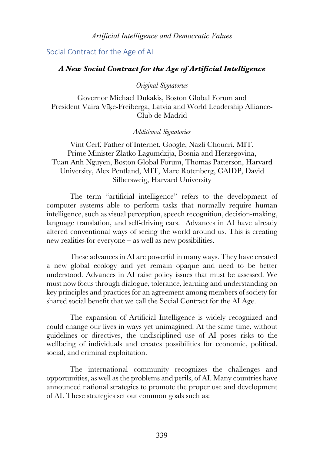### Social Contract for the Age of AI

### *A New Social Contract for the Age of Artificial Intelligence*

*Original Signatories*

Governor Michael Dukakis, Boston Global Forum and President Vaira Vīķe-Freiberga, Latvia and World Leadership Alliance-Club de Madrid

#### *Additional Signatories*

Vint Cerf, Father of Internet, Google, Nazli Choucri, MIT, Prime Minister Zlatko Lagumdzija, Bosnia and Herzegovina, Tuan Anh Nguyen, Boston Global Forum, Thomas Patterson, Harvard University, Alex Pentland, MIT, Marc Rotenberg, CAIDP, David Silbersweig, Harvard University

The term "artificial intelligence" refers to the development of computer systems able to perform tasks that normally require human intelligence, such as visual perception, speech recognition, decision-making, language translation, and self-driving cars. Advances in AI have already altered conventional ways of seeing the world around us. This is creating new realities for everyone – as well as new possibilities.

These advances in AI are powerful in many ways. They have created a new global ecology and yet remain opaque and need to be better understood. Advances in AI raise policy issues that must be assessed. We must now focus through dialogue, tolerance, learning and understanding on key principles and practices for an agreement among members of society for shared social benefit that we call the Social Contract for the AI Age.

The expansion of Artificial Intelligence is widely recognized and could change our lives in ways yet unimagined. At the same time, without guidelines or directives, the undisciplined use of AI poses risks to the wellbeing of individuals and creates possibilities for economic, political, social, and criminal exploitation.

The international community recognizes the challenges and opportunities, as well as the problems and perils, of AI. Many countries have announced national strategies to promote the proper use and development of AI. These strategies set out common goals such as: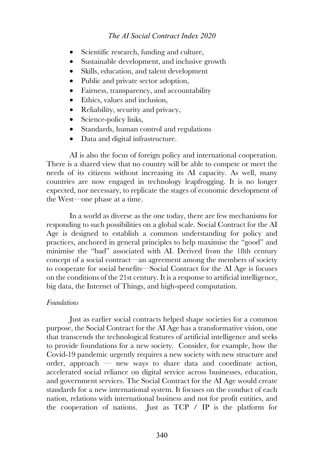- Scientific research, funding and culture,
- Sustainable development, and inclusive growth
- Skills, education, and talent development
- Public and private sector adoption,
- Fairness, transparency, and accountability
- Ethics, values and inclusion,
- Reliability, security and privacy,
- Science-policy links,
- Standards, human control and regulations
- Data and digital infrastructure.

AI is also the focus of foreign policy and international cooperation. There is a shared view that no country will be able to compete or meet the needs of its citizens without increasing its AI capacity. As well, many countries are now engaged in technology leapfrogging. It is no longer expected, nor necessary, to replicate the stages of economic development of the West—one phase at a time.

In a world as diverse as the one today, there are few mechanisms for responding to such possibilities on a global scale. Social Contract for the AI Age is designed to establish a common understanding for policy and practices, anchored in general principles to help maximise the "good" and minimise the "bad" associated with AI. Derived from the 18th century concept of a social contract—an agreement among the members of society to cooperate for social benefits—Social Contract for the AI Age is focuses on the conditions of the 21st century. It is a response to artificial intelligence, big data, the Internet of Things, and high-speed computation.

#### *Foundations*

Just as earlier social contracts helped shape societies for a common purpose, the Social Contract for the AI Age has a transformative vision, one that transcends the technological features of artificial intelligence and seeks to provide foundations for a new society. Consider, for example, how the Covid-19 pandemic urgently requires a new society with new structure and order, approach — new ways to share data and coordinate action, accelerated social reliance on digital service across businesses, education, and government services. The Social Contract for the AI Age would create standards for a new international system. It focuses on the conduct of each nation, relations with international business and not for profit entities, and the cooperation of nations. Just as TCP / IP is the platform for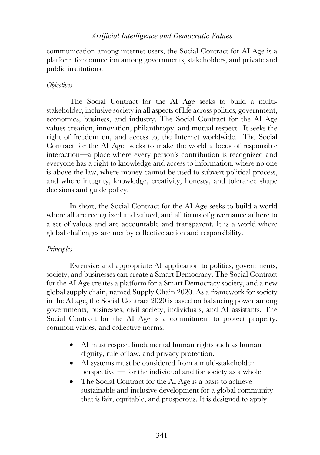communication among internet users, the Social Contract for AI Age is a platform for connection among governments, stakeholders, and private and public institutions.

#### *Objectives*

The Social Contract for the AI Age seeks to build a multistakeholder, inclusive society in all aspects of life across politics, government, economics, business, and industry. The Social Contract for the AI Age values creation, innovation, philanthropy, and mutual respect. It seeks the right of freedom on, and access to, the Internet worldwide. The Social Contract for the AI Age seeks to make the world a locus of responsible interaction—a place where every person's contribution is recognized and everyone has a right to knowledge and access to information, where no one is above the law, where money cannot be used to subvert political process, and where integrity, knowledge, creativity, honesty, and tolerance shape decisions and guide policy.

In short, the Social Contract for the AI Age seeks to build a world where all are recognized and valued, and all forms of governance adhere to a set of values and are accountable and transparent. It is a world where global challenges are met by collective action and responsibility.

### *Principles*

Extensive and appropriate AI application to politics, governments, society, and businesses can create a Smart Democracy. The Social Contract for the AI Age creates a platform for a Smart Democracy society, and a new global supply chain, named Supply Chain 2020. As a framework for society in the AI age, the Social Contract 2020 is based on balancing power among governments, businesses, civil society, individuals, and AI assistants. The Social Contract for the AI Age is a commitment to protect property, common values, and collective norms.

- AI must respect fundamental human rights such as human dignity, rule of law, and privacy protection.
- AI systems must be considered from a multi-stakeholder perspective — for the individual and for society as a whole
- The Social Contract for the AI Age is a basis to achieve sustainable and inclusive development for a global community that is fair, equitable, and prosperous. It is designed to apply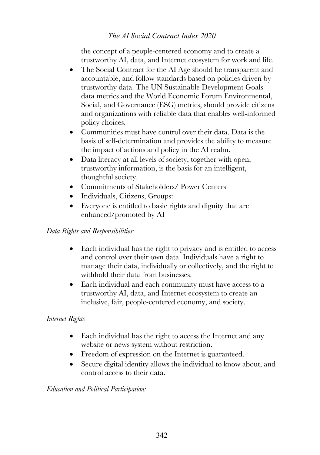the concept of a people-centered economy and to create a trustworthy AI, data, and Internet ecosystem for work and life.

- The Social Contract for the AI Age should be transparent and accountable, and follow standards based on policies driven by trustworthy data. The UN Sustainable Development Goals data metrics and the World Economic Forum Environmental, Social, and Governance (ESG) metrics, should provide citizens and organizations with reliable data that enables well-informed policy choices.
- Communities must have control over their data. Data is the basis of self-determination and provides the ability to measure the impact of actions and policy in the AI realm.
- Data literacy at all levels of society, together with open, trustworthy information, is the basis for an intelligent, thoughtful society.
- Commitments of Stakeholders/ Power Centers
- Individuals, Citizens, Groups:
- Everyone is entitled to basic rights and dignity that are enhanced/promoted by AI

# *Data Rights and Responsibilities:*

- Each individual has the right to privacy and is entitled to access and control over their own data. Individuals have a right to manage their data, individually or collectively, and the right to withhold their data from businesses.
- Each individual and each community must have access to a trustworthy AI, data, and Internet ecosystem to create an inclusive, fair, people-centered economy, and society.

# *Internet Rights*

- Each individual has the right to access the Internet and any website or news system without restriction.
- Freedom of expression on the Internet is guaranteed.
- Secure digital identity allows the individual to know about, and control access to their data.

*Education and Political Participation:*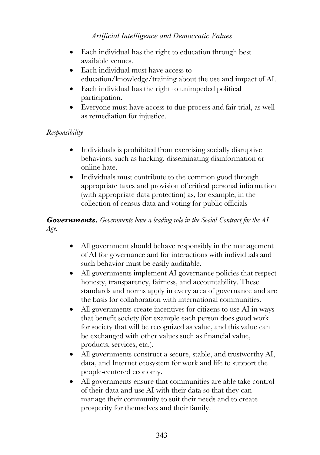- Each individual has the right to education through best available venues.
- Each individual must have access to education/knowledge/training about the use and impact of AI.
- Each individual has the right to unimpeded political participation.
- Everyone must have access to due process and fair trial, as well as remediation for injustice.

# *Responsibility*

- Individuals is prohibited from exercising socially disruptive behaviors, such as hacking, disseminating disinformation or online hate.
- Individuals must contribute to the common good through appropriate taxes and provision of critical personal information (with appropriate data protection) as, for example, in the collection of census data and voting for public officials

*Governments. Governments have a leading role in the Social Contract for the AI Age.*

- All government should behave responsibly in the management of AI for governance and for interactions with individuals and such behavior must be easily auditable.
- All governments implement AI governance policies that respect honesty, transparency, fairness, and accountability. These standards and norms apply in every area of governance and are the basis for collaboration with international communities.
- All governments create incentives for citizens to use AI in ways that benefit society (for example each person does good work for society that will be recognized as value, and this value can be exchanged with other values such as financial value, products, services, etc.).
- All governments construct a secure, stable, and trustworthy AI, data, and Internet ecosystem for work and life to support the people-centered economy.
- All governments ensure that communities are able take control of their data and use AI with their data so that they can manage their community to suit their needs and to create prosperity for themselves and their family.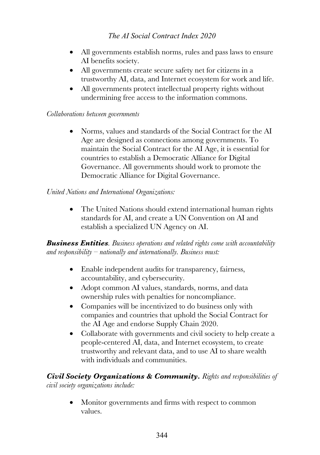- All governments establish norms, rules and pass laws to ensure AI benefits society.
- All governments create secure safety net for citizens in a trustworthy AI, data, and Internet ecosystem for work and life.
- All governments protect intellectual property rights without undermining free access to the information commons.

## *Collaborations between governments*

• Norms, values and standards of the Social Contract for the AI Age are designed as connections among governments. To maintain the Social Contract for the AI Age, it is essential for countries to establish a Democratic Alliance for Digital Governance. All governments should work to promote the Democratic Alliance for Digital Governance.

## *United Nations and International Organizations:*

• The United Nations should extend international human rights standards for AI, and create a UN Convention on AI and establish a specialized UN Agency on AI.

*Business Entities. Business operations and related rights come with accountability and responsibility – nationally and internationally. Business must:*

- Enable independent audits for transparency, fairness, accountability, and cybersecurity.
- Adopt common AI values, standards, norms, and data ownership rules with penalties for noncompliance.
- Companies will be incentivized to do business only with companies and countries that uphold the Social Contract for the AI Age and endorse Supply Chain 2020.
- Collaborate with governments and civil society to help create a people-centered AI, data, and Internet ecosystem, to create trustworthy and relevant data, and to use AI to share wealth with individuals and communities.

*Civil Society Organizations & Community. Rights and responsibilities of civil society organizations include:*

> • Monitor governments and firms with respect to common values.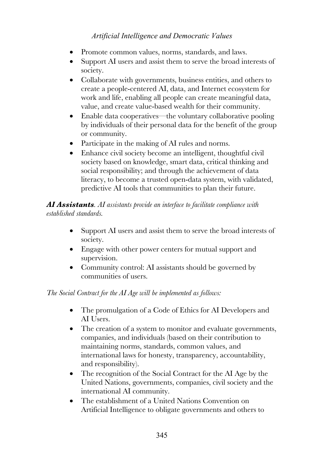- Promote common values, norms, standards, and laws.
- Support AI users and assist them to serve the broad interests of society.
- Collaborate with governments, business entities, and others to create a people-centered AI, data, and Internet ecosystem for work and life, enabling all people can create meaningful data, value, and create value-based wealth for their community.
- Enable data cooperatives—the voluntary collaborative pooling by individuals of their personal data for the benefit of the group or community.
- Participate in the making of AI rules and norms.
- Enhance civil society become an intelligent, thoughtful civil society based on knowledge, smart data, critical thinking and social responsibility; and through the achievement of data literacy, to become a trusted open-data system, with validated, predictive AI tools that communities to plan their future.

# *AI Assistants. AI assistants provide an interface to facilitate compliance with established standards.*

- Support AI users and assist them to serve the broad interests of society.
- Engage with other power centers for mutual support and supervision.
- Community control: AI assistants should be governed by communities of users.

# *The Social Contract for the AI Age will be implemented as follows:*

- The promulgation of a Code of Ethics for AI Developers and AI Users.
- The creation of a system to monitor and evaluate governments, companies, and individuals (based on their contribution to maintaining norms, standards, common values, and international laws for honesty, transparency, accountability, and responsibility).
- The recognition of the Social Contract for the AI Age by the United Nations, governments, companies, civil society and the international AI community.
- The establishment of a United Nations Convention on Artificial Intelligence to obligate governments and others to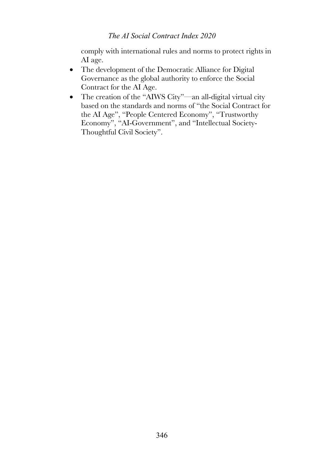comply with international rules and norms to protect rights in AI age.

- The development of the Democratic Alliance for Digital Governance as the global authority to enforce the Social Contract for the AI Age.
- The creation of the "AIWS City"—an all-digital virtual city based on the standards and norms of "the Social Contract for the AI Age", "People Centered Economy", "Trustworthy Economy", "AI-Government", and "Intellectual Society-Thoughtful Civil Society".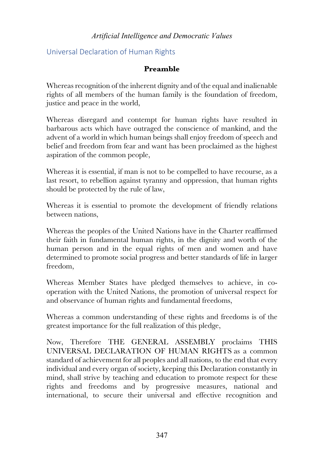# Universal Declaration of Human Rights

## **Preamble**

Whereas recognition of the inherent dignity and of the equal and inalienable rights of all members of the human family is the foundation of freedom, justice and peace in the world,

Whereas disregard and contempt for human rights have resulted in barbarous acts which have outraged the conscience of mankind, and the advent of a world in which human beings shall enjoy freedom of speech and belief and freedom from fear and want has been proclaimed as the highest aspiration of the common people,

Whereas it is essential, if man is not to be compelled to have recourse, as a last resort, to rebellion against tyranny and oppression, that human rights should be protected by the rule of law,

Whereas it is essential to promote the development of friendly relations between nations,

Whereas the peoples of the United Nations have in the Charter reaffirmed their faith in fundamental human rights, in the dignity and worth of the human person and in the equal rights of men and women and have determined to promote social progress and better standards of life in larger freedom,

Whereas Member States have pledged themselves to achieve, in cooperation with the United Nations, the promotion of universal respect for and observance of human rights and fundamental freedoms,

Whereas a common understanding of these rights and freedoms is of the greatest importance for the full realization of this pledge,

Now, Therefore THE GENERAL ASSEMBLY proclaims THIS UNIVERSAL DECLARATION OF HUMAN RIGHTS as a common standard of achievement for all peoples and all nations, to the end that every individual and every organ of society, keeping this Declaration constantly in mind, shall strive by teaching and education to promote respect for these rights and freedoms and by progressive measures, national and international, to secure their universal and effective recognition and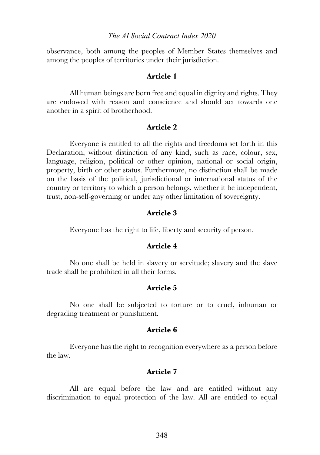observance, both among the peoples of Member States themselves and among the peoples of territories under their jurisdiction.

#### **Article 1**

All human beings are born free and equal in dignity and rights. They are endowed with reason and conscience and should act towards one another in a spirit of brotherhood.

### **Article 2**

Everyone is entitled to all the rights and freedoms set forth in this Declaration, without distinction of any kind, such as race, colour, sex, language, religion, political or other opinion, national or social origin, property, birth or other status. Furthermore, no distinction shall be made on the basis of the political, jurisdictional or international status of the country or territory to which a person belongs, whether it be independent, trust, non-self-governing or under any other limitation of sovereignty.

#### **Article 3**

Everyone has the right to life, liberty and security of person.

#### **Article 4**

No one shall be held in slavery or servitude; slavery and the slave trade shall be prohibited in all their forms.

#### **Article 5**

No one shall be subjected to torture or to cruel, inhuman or degrading treatment or punishment.

#### **Article 6**

Everyone has the right to recognition everywhere as a person before the law.

## **Article 7**

All are equal before the law and are entitled without any discrimination to equal protection of the law. All are entitled to equal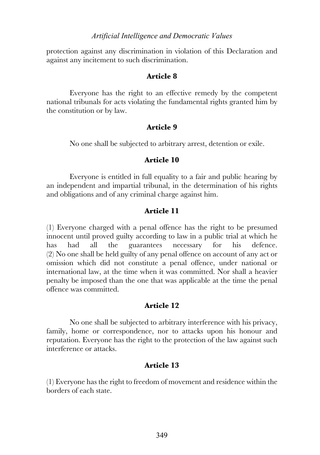protection against any discrimination in violation of this Declaration and against any incitement to such discrimination.

#### **Article 8**

Everyone has the right to an effective remedy by the competent national tribunals for acts violating the fundamental rights granted him by the constitution or by law.

### **Article 9**

No one shall be subjected to arbitrary arrest, detention or exile.

### **Article 10**

Everyone is entitled in full equality to a fair and public hearing by an independent and impartial tribunal, in the determination of his rights and obligations and of any criminal charge against him.

#### **Article 11**

(1) Everyone charged with a penal offence has the right to be presumed innocent until proved guilty according to law in a public trial at which he has had all the guarantees necessary for his defence. (2) No one shall be held guilty of any penal offence on account of any act or omission which did not constitute a penal offence, under national or international law, at the time when it was committed. Nor shall a heavier penalty be imposed than the one that was applicable at the time the penal offence was committed.

#### **Article 12**

No one shall be subjected to arbitrary interference with his privacy, family, home or correspondence, nor to attacks upon his honour and reputation. Everyone has the right to the protection of the law against such interference or attacks.

#### **Article 13**

(1) Everyone has the right to freedom of movement and residence within the borders of each state.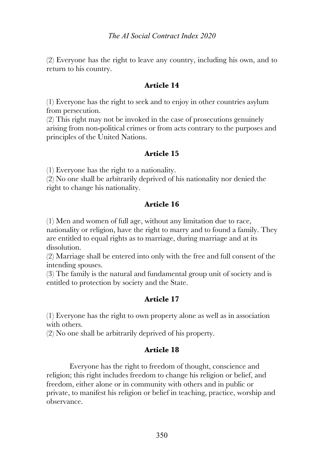(2) Everyone has the right to leave any country, including his own, and to return to his country.

### **Article 14**

(1) Everyone has the right to seek and to enjoy in other countries asylum from persecution.

(2) This right may not be invoked in the case of prosecutions genuinely arising from non-political crimes or from acts contrary to the purposes and principles of the United Nations.

### **Article 15**

(1) Everyone has the right to a nationality.

(2) No one shall be arbitrarily deprived of his nationality nor denied the right to change his nationality.

# **Article 16**

(1) Men and women of full age, without any limitation due to race,

nationality or religion, have the right to marry and to found a family. They are entitled to equal rights as to marriage, during marriage and at its dissolution.

(2) Marriage shall be entered into only with the free and full consent of the intending spouses.

(3) The family is the natural and fundamental group unit of society and is entitled to protection by society and the State.

# **Article 17**

(1) Everyone has the right to own property alone as well as in association with others.

(2) No one shall be arbitrarily deprived of his property.

### **Article 18**

Everyone has the right to freedom of thought, conscience and religion; this right includes freedom to change his religion or belief, and freedom, either alone or in community with others and in public or private, to manifest his religion or belief in teaching, practice, worship and observance.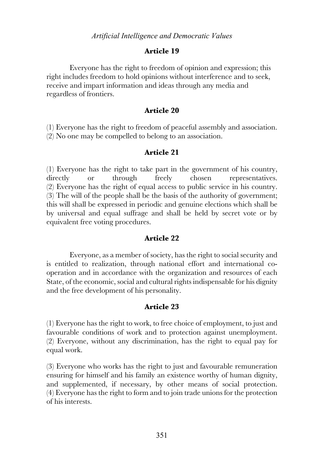#### **Article 19**

Everyone has the right to freedom of opinion and expression; this right includes freedom to hold opinions without interference and to seek, receive and impart information and ideas through any media and regardless of frontiers.

#### **Article 20**

(1) Everyone has the right to freedom of peaceful assembly and association. (2) No one may be compelled to belong to an association.

#### **Article 21**

(1) Everyone has the right to take part in the government of his country, directly or through freely chosen representatives. (2) Everyone has the right of equal access to public service in his country. (3) The will of the people shall be the basis of the authority of government; this will shall be expressed in periodic and genuine elections which shall be by universal and equal suffrage and shall be held by secret vote or by equivalent free voting procedures.

#### **Article 22**

Everyone, as a member of society, has the right to social security and is entitled to realization, through national effort and international cooperation and in accordance with the organization and resources of each State, of the economic, social and cultural rights indispensable for his dignity and the free development of his personality.

### **Article 23**

(1) Everyone has the right to work, to free choice of employment, to just and favourable conditions of work and to protection against unemployment. (2) Everyone, without any discrimination, has the right to equal pay for equal work.

(3) Everyone who works has the right to just and favourable remuneration ensuring for himself and his family an existence worthy of human dignity, and supplemented, if necessary, by other means of social protection. (4) Everyone has the right to form and to join trade unions for the protection of his interests.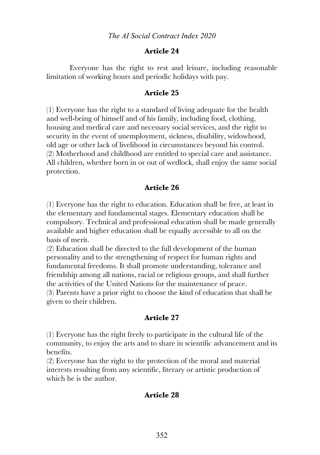#### **Article 24**

Everyone has the right to rest and leisure, including reasonable limitation of working hours and periodic holidays with pay.

### **Article 25**

(1) Everyone has the right to a standard of living adequate for the health and well-being of himself and of his family, including food, clothing, housing and medical care and necessary social services, and the right to security in the event of unemployment, sickness, disability, widowhood, old age or other lack of livelihood in circumstances beyond his control. (2) Motherhood and childhood are entitled to special care and assistance. All children, whether born in or out of wedlock, shall enjoy the same social protection.

### **Article 26**

(1) Everyone has the right to education. Education shall be free, at least in the elementary and fundamental stages. Elementary education shall be compulsory. Technical and professional education shall be made generally available and higher education shall be equally accessible to all on the basis of merit.

(2) Education shall be directed to the full development of the human personality and to the strengthening of respect for human rights and fundamental freedoms. It shall promote understanding, tolerance and friendship among all nations, racial or religious groups, and shall further the activities of the United Nations for the maintenance of peace. (3) Parents have a prior right to choose the kind of education that shall be given to their children.

### **Article 27**

(1) Everyone has the right freely to participate in the cultural life of the community, to enjoy the arts and to share in scientific advancement and its benefits.

(2) Everyone has the right to the protection of the moral and material interests resulting from any scientific, literary or artistic production of which he is the author.

### **Article 28**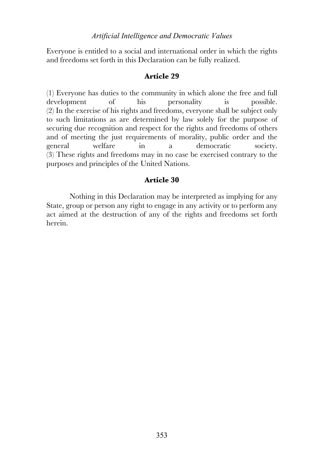Everyone is entitled to a social and international order in which the rights and freedoms set forth in this Declaration can be fully realized.

### **Article 29**

(1) Everyone has duties to the community in which alone the free and full development of his personality is possible. (2) In the exercise of his rights and freedoms, everyone shall be subject only to such limitations as are determined by law solely for the purpose of securing due recognition and respect for the rights and freedoms of others and of meeting the just requirements of morality, public order and the general welfare in a democratic society. (3) These rights and freedoms may in no case be exercised contrary to the purposes and principles of the United Nations.

## **Article 30**

Nothing in this Declaration may be interpreted as implying for any State, group or person any right to engage in any activity or to perform any act aimed at the destruction of any of the rights and freedoms set forth herein.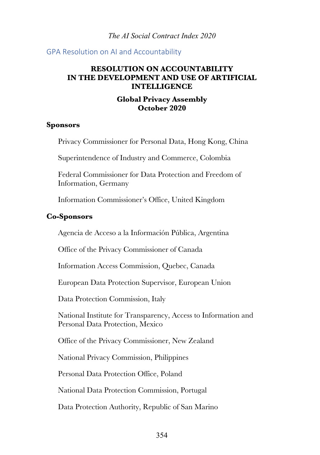GPA Resolution on AI and Accountability

### **RESOLUTION ON ACCOUNTABILITY IN THE DEVELOPMENT AND USE OF ARTIFICIAL INTELLIGENCE**

## **Global Privacy Assembly October 2020**

#### **Sponsors**

Privacy Commissioner for Personal Data, Hong Kong, China

Superintendence of Industry and Commerce, Colombia

Federal Commissioner for Data Protection and Freedom of Information, Germany

Information Commissioner's Office, United Kingdom

#### **Co-Sponsors**

Agencia de Acceso a la Información Pública, Argentina

Office of the Privacy Commissioner of Canada

Information Access Commission, Quebec, Canada

European Data Protection Supervisor, European Union

Data Protection Commission, Italy

National Institute for Transparency, Access to Information and Personal Data Protection, Mexico

Office of the Privacy Commissioner, New Zealand

National Privacy Commission, Philippines

Personal Data Protection Office, Poland

National Data Protection Commission, Portugal

Data Protection Authority, Republic of San Marino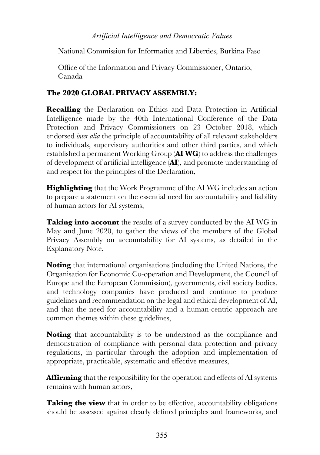National Commission for Informatics and Liberties, Burkina Faso

Office of the Information and Privacy Commissioner, Ontario, Canada

# **The 2020 GLOBAL PRIVACY ASSEMBLY:**

**Recalling** the Declaration on Ethics and Data Protection in Artificial Intelligence made by the 40th International Conference of the Data Protection and Privacy Commissioners on 23 October 2018, which endorsed *inter alia* the principle of accountability of all relevant stakeholders to individuals, supervisory authorities and other third parties, and which established a permanent Working Group (**AI WG**) to address the challenges of development of artificial intelligence (**AI**), and promote understanding of and respect for the principles of the Declaration,

**Highlighting** that the Work Programme of the AI WG includes an action to prepare a statement on the essential need for accountability and liability of human actors for AI systems,

**Taking into account** the results of a survey conducted by the AI WG in May and June 2020, to gather the views of the members of the Global Privacy Assembly on accountability for AI systems, as detailed in the Explanatory Note,

**Noting** that international organisations (including the United Nations, the Organisation for Economic Co-operation and Development, the Council of Europe and the European Commission), governments, civil society bodies, and technology companies have produced and continue to produce guidelines and recommendation on the legal and ethical development of AI, and that the need for accountability and a human-centric approach are common themes within these guidelines,

**Noting** that accountability is to be understood as the compliance and demonstration of compliance with personal data protection and privacy regulations, in particular through the adoption and implementation of appropriate, practicable, systematic and effective measures,

**Affirming** that the responsibility for the operation and effects of AI systems remains with human actors,

**Taking the view** that in order to be effective, accountability obligations should be assessed against clearly defined principles and frameworks, and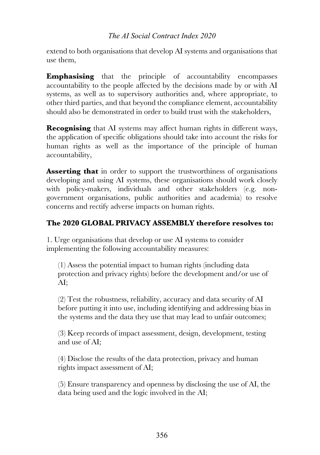extend to both organisations that develop AI systems and organisations that use them,

**Emphasising** that the principle of accountability encompasses accountability to the people affected by the decisions made by or with AI systems, as well as to supervisory authorities and, where appropriate, to other third parties, and that beyond the compliance element, accountability should also be demonstrated in order to build trust with the stakeholders,

**Recognising** that AI systems may affect human rights in different ways, the application of specific obligations should take into account the risks for human rights as well as the importance of the principle of human accountability,

**Asserting that** in order to support the trustworthiness of organisations developing and using AI systems, these organisations should work closely with policy-makers, individuals and other stakeholders (e.g. nongovernment organisations, public authorities and academia) to resolve concerns and rectify adverse impacts on human rights.

# **The 2020 GLOBAL PRIVACY ASSEMBLY therefore resolves to:**

1. Urge organisations that develop or use AI systems to consider implementing the following accountability measures:

(1) Assess the potential impact to human rights (including data protection and privacy rights) before the development and/or use of AI;

(2) Test the robustness, reliability, accuracy and data security of AI before putting it into use, including identifying and addressing bias in the systems and the data they use that may lead to unfair outcomes;

(3) Keep records of impact assessment, design, development, testing and use of AI;

(4) Disclose the results of the data protection, privacy and human rights impact assessment of AI;

(5) Ensure transparency and openness by disclosing the use of AI, the data being used and the logic involved in the AI;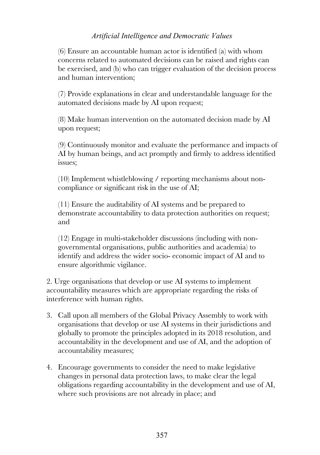(6) Ensure an accountable human actor is identified (a) with whom concerns related to automated decisions can be raised and rights can be exercised, and (b) who can trigger evaluation of the decision process and human intervention;

(7) Provide explanations in clear and understandable language for the automated decisions made by AI upon request;

(8) Make human intervention on the automated decision made by AI upon request;

(9) Continuously monitor and evaluate the performance and impacts of AI by human beings, and act promptly and firmly to address identified issues;

(10) Implement whistleblowing / reporting mechanisms about noncompliance or significant risk in the use of AI;

(11) Ensure the auditability of AI systems and be prepared to demonstrate accountability to data protection authorities on request; and

(12) Engage in multi-stakeholder discussions (including with nongovernmental organisations, public authorities and academia) to identify and address the wider socio- economic impact of AI and to ensure algorithmic vigilance.

2. Urge organisations that develop or use AI systems to implement accountability measures which are appropriate regarding the risks of interference with human rights.

- 3. Call upon all members of the Global Privacy Assembly to work with organisations that develop or use AI systems in their jurisdictions and globally to promote the principles adopted in its 2018 resolution, and accountability in the development and use of AI, and the adoption of accountability measures;
- 4. Encourage governments to consider the need to make legislative changes in personal data protection laws, to make clear the legal obligations regarding accountability in the development and use of AI, where such provisions are not already in place; and